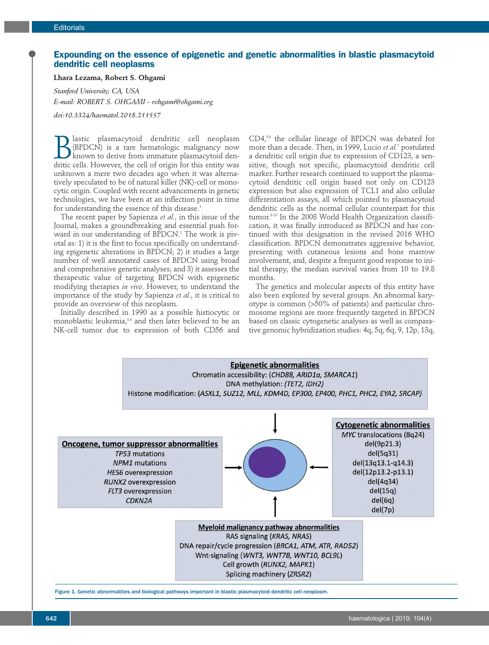## **Expounding on the essence of epigenetic and genetic abnormalities in blastic plasmacytoid dendritic cell neoplasms**

**Lhara Lezama, Robert S. Ohgami**

*Stanford University, CA, USA E-mail: ROBERT S. OHGAMI - rohgami@ohgami.org doi:10.3324/haematol.2018.211557*

**B** lastic plasmacytoid dendritic cell neoplasm<br>
(BPDCN) is a rare hematologic malignancy now<br>
known to derive from immature plasmacytoid den-<br>
dritic cells. However, the cell of origin for this entity was (BPDCN) is a rare hematologic malignancy now dritic cells. However, the cell of origin for this entity was unknown a mere two decades ago when it was alternatively speculated to be of natural killer (NK)-cell or monocytic origin. Coupled with recent advancements in genetic technologies, we have been at an inflection point in time for understanding the essence of this disease.<sup>1</sup>

The recent paper by Sapienza *et al.*, in this issue of the Journal, makes a groundbreaking and essential push forward in our understanding of BPDCN.<sup>2</sup> The work is pivotal as: 1) it is the first to focus specifically on understanding epigenetic alterations in BPDCN; 2) it studies a large number of well annotated cases of BPDCN using broad and comprehensive genetic analyses; and 3) it assesses the therapeutic value of targeting BPDCN with epigenetic modifying therapies *in vivo*. However, to understand the importance of the study by Sapienza *et al.*, it is critical to provide an overview of this neoplasm.

Initially described in 1990 as a possible histiocytic or monoblastic leukemia,<sup>3,4</sup> and then later believed to be an NK-cell tumor due to expression of both CD56 and CD4,<sup>5,6</sup> the cellular lineage of BPDCN was debated for more than a decade. Then, in 1999, Lucio *et al.*<sup>7</sup> postulated a dendritic cell origin due to expression of CD123, a sensitive, though not specific, plasmacytoid dendritic cell marker. Further research continued to support the plasmacytoid dendritic cell origin based not only on CD123 expression but also expression of TCL1 and also cellular differentiation assays, all which pointed to plasmacytoid dendritic cells as the normal cellular counterpart for this tumor.8-10 In the 2008 World Health Organization classification, it was finally introduced as BPDCN and has continued with this designation in the revised 2016 WHO classification. BPDCN demonstrates aggressive behavior, presenting with cutaneous lesions and bone marrow involvement, and, despite a frequent good response to initial therapy, the median survival varies from 10 to 19.8 months.

The genetics and molecular aspects of this entity have also been explored by several groups. An abnormal karyotype is common (>50% of patients) and particular chromosome regions are more frequently targeted in BPDCN based on classic cytogenetic analyses as well as comparative genomic hybridization studies: 4q, 5q, 6q, 9, 12p, 13q,



Figure 1. Genetic abnormalities and biological pathways important in blastic plasmacytoid dendritic cell neoplasm.